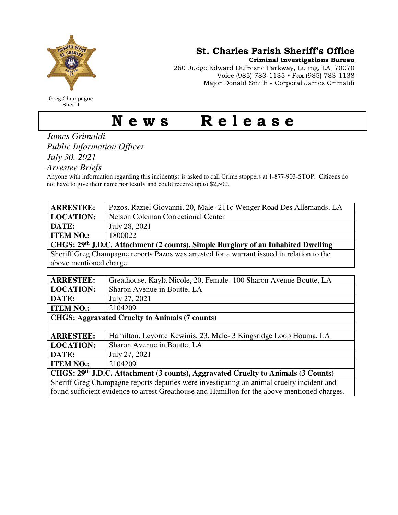

Greg Champagne Sheriff

St. Charles Parish Sheriff's Office

Criminal Investigations Bureau

260 Judge Edward Dufresne Parkway, Luling, LA 70070 Voice (985) 783-1135 • Fax (985) 783-1138 Major Donald Smith - Corporal James Grimaldi

## News Release

*James Grimaldi Public Information Officer July 30, 2021* 

*Arrestee Briefs* 

Anyone with information regarding this incident(s) is asked to call Crime stoppers at 1-877-903-STOP. Citizens do not have to give their name nor testify and could receive up to \$2,500.

| <b>ARRESTEE:</b>                                                                             | Pazos, Raziel Giovanni, 20, Male-211c Wenger Road Des Allemands, LA |
|----------------------------------------------------------------------------------------------|---------------------------------------------------------------------|
| <b>LOCATION:</b>                                                                             | <b>Nelson Coleman Correctional Center</b>                           |
| DATE:                                                                                        | July 28, 2021                                                       |
| <b>ITEM NO.:</b>                                                                             | 1800022                                                             |
| CHGS: 29th J.D.C. Attachment (2 counts), Simple Burglary of an Inhabited Dwelling            |                                                                     |
| Sheriff Greg Champagne reports Pazos was arrested for a warrant issued in relation to the    |                                                                     |
| above mentioned charge.                                                                      |                                                                     |
|                                                                                              |                                                                     |
| <b>ARRESTEE:</b>                                                                             | Greathouse, Kayla Nicole, 20, Female - 100 Sharon Avenue Boutte, LA |
| <b>LOCATION:</b>                                                                             | Sharon Avenue in Boutte, LA                                         |
| DATE:                                                                                        | July 27, 2021                                                       |
| <b>ITEM NO.:</b>                                                                             | 2104209                                                             |
|                                                                                              | <b>CHGS: Aggravated Cruelty to Animals (7 counts)</b>               |
|                                                                                              |                                                                     |
| <b>ARRESTEE:</b>                                                                             | Hamilton, Levonte Kewinis, 23, Male-3 Kingsridge Loop Houma, LA     |
| <b>LOCATION:</b>                                                                             | Sharon Avenue in Boutte, LA                                         |
| DATE:                                                                                        | July 27, 2021                                                       |
| <b>ITEM NO.:</b>                                                                             | 2104209                                                             |
| CHGS: 29th J.D.C. Attachment (3 counts), Aggravated Cruelty to Animals (3 Counts)            |                                                                     |
| Sheriff Greg Champagne reports deputies were investigating an animal cruelty incident and    |                                                                     |
| found sufficient evidence to arrest Greathouse and Hamilton for the above mentioned charges. |                                                                     |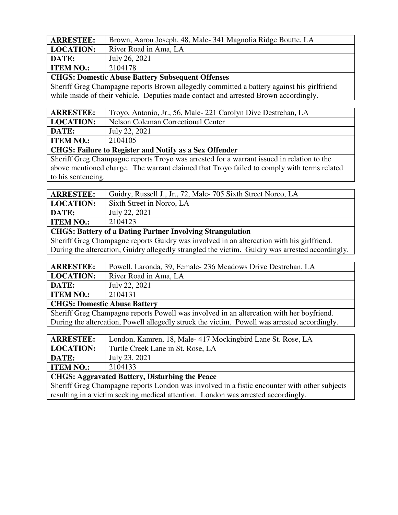| <b>ARRESTEE:</b>                                | Brown, Aaron Joseph, 48, Male-341 Magnolia Ridge Boutte, LA |
|-------------------------------------------------|-------------------------------------------------------------|
| <b>LOCATION:</b>                                | River Road in Ama, LA                                       |
| DATE:                                           | July 26, 2021                                               |
| <b>ITEM NO.:</b>                                | 2104178                                                     |
| CHCC. Domestic Abres Detter Cubecovert Offerses |                                                             |

**CHGS: Domestic Abuse Battery Subsequent Offenses** 

Sheriff Greg Champagne reports Brown allegedly committed a battery against his girlfriend while inside of their vehicle. Deputies made contact and arrested Brown accordingly.

| <b>ARRESTEE:</b> | Troyo, Antonio, Jr., 56, Male-221 Carolyn Dive Destrehan, LA |
|------------------|--------------------------------------------------------------|
| <b>LOCATION:</b> | Nelson Coleman Correctional Center                           |
| DATE:            | July 22, 2021                                                |
| <b>ITEM NO.:</b> | 2104105                                                      |

## **CHGS: Failure to Register and Notify as a Sex Offender**

Sheriff Greg Champagne reports Troyo was arrested for a warrant issued in relation to the above mentioned charge. The warrant claimed that Troyo failed to comply with terms related to his sentencing.

| <b>ARRESTEE:</b>                                          | Guidry, Russell J., Jr., 72, Male-705 Sixth Street Norco, LA |
|-----------------------------------------------------------|--------------------------------------------------------------|
| <b>LOCATION:</b>                                          | Sixth Street in Norco, LA                                    |
| <b>DATE:</b>                                              | July 22, 2021                                                |
| <b>ITEM NO.:</b>                                          | 2104123                                                      |
| CUCS: Rettery of a Deting Dertner Involving Strengulation |                                                              |

**CHGS: Battery of a Dating Partner Involving Strangulation** 

Sheriff Greg Champagne reports Guidry was involved in an altercation with his girlfriend. During the altercation, Guidry allegedly strangled the victim. Guidry was arrested accordingly.

| <b>ARRESTEE:</b>                    | Powell, Laronda, 39, Female- 236 Meadows Drive Destrehan, LA |
|-------------------------------------|--------------------------------------------------------------|
| <b>LOCATION:</b>                    | River Road in Ama, LA                                        |
| DATE:                               | July 22, 2021                                                |
| <b>ITEM NO.:</b>                    | 2104131                                                      |
| <b>CHGS: Domestic Abuse Battery</b> |                                                              |
|                                     |                                                              |

Sheriff Greg Champagne reports Powell was involved in an altercation with her boyfriend. During the altercation, Powell allegedly struck the victim. Powell was arrested accordingly.

| <b>ARRESTEE:</b>                                      | London, Kamren, 18, Male-417 Mockingbird Lane St. Rose, LA |
|-------------------------------------------------------|------------------------------------------------------------|
| <b>LOCATION:</b>                                      | Turtle Creek Lane in St. Rose, LA                          |
| DATE:                                                 | July 23, 2021                                              |
| <b>ITEM NO.:</b>                                      | 2104133                                                    |
| <b>CHGS: Aggravated Battery, Disturbing the Peace</b> |                                                            |

Sheriff Greg Champagne reports London was involved in a fistic encounter with other subjects resulting in a victim seeking medical attention. London was arrested accordingly.